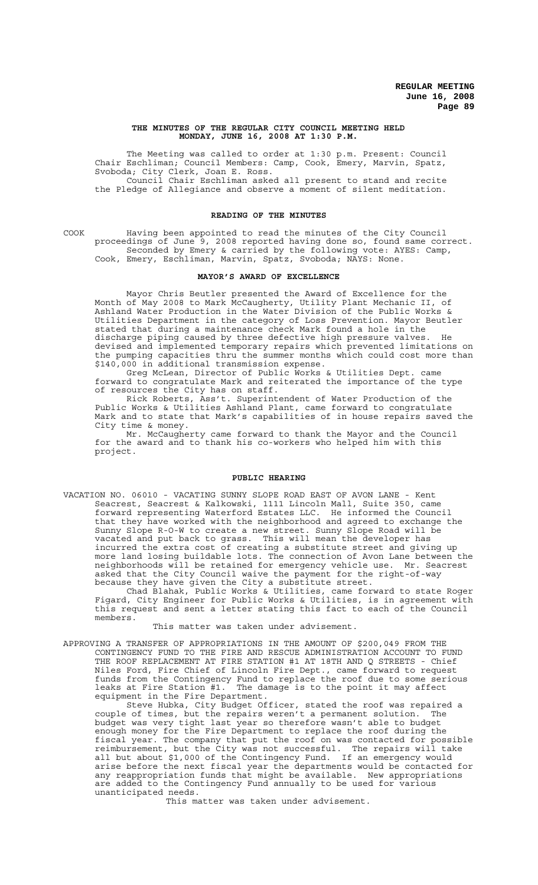### **THE MINUTES OF THE REGULAR CITY COUNCIL MEETING HELD MONDAY, JUNE 16, 2008 AT 1:30 P.M.**

The Meeting was called to order at 1:30 p.m. Present: Council Chair Eschliman; Council Members: Camp, Cook, Emery, Marvin, Spatz, Svoboda; City Clerk, Joan E. Ross. Council Chair Eschliman asked all present to stand and recite

the Pledge of Allegiance and observe a moment of silent meditation.

## **READING OF THE MINUTES**

COOK Having been appointed to read the minutes of the City Council proceedings of June 9, 2008 reported having done so, found same correct. Seconded by Emery & carried by the following vote: AYES: Camp, Cook, Emery, Eschliman, Marvin, Spatz, Svoboda; NAYS: None.

#### **MAYOR'S AWARD OF EXCELLENCE**

Mayor Chris Beutler presented the Award of Excellence for the Month of May 2008 to Mark McCaugherty, Utility Plant Mechanic II, of Ashland Water Production in the Water Division of the Public Works & Utilities Department in the category of Loss Prevention. Mayor Beutler stated that during a maintenance check Mark found a hole in the discharge piping caused by three defective high pressure valves. He devised and implemented temporary repairs which prevented limitations on the pumping capacities thru the summer months which could cost more than \$140,000 in additional transmission expense.

Greg McLean, Director of Public Works & Utilities Dept. came forward to congratulate Mark and reiterated the importance of the type of resources the City has on staff.

Rick Roberts, Ass't. Superintendent of Water Production of the Public Works & Utilities Ashland Plant, came forward to congratulate Mark and to state that Mark's capabilities of in house repairs saved the City time & money.

Mr. McCaugherty came forward to thank the Mayor and the Council for the award and to thank his co-workers who helped him with this project.

### **PUBLIC HEARING**

VACATION NO. 06010 - VACATING SUNNY SLOPE ROAD EAST OF AVON LANE - Kent Seacrest, Seacrest & Kalkowski, 1111 Lincoln Mall, Suite 350, came forward representing Waterford Estates LLC. He informed the Council that they have worked with the neighborhood and agreed to exchange the Sunny Slope R-O-W to create a new street. Sunny Slope Road will be vacated and put back to grass. This will mean the developer has incurred the extra cost of creating a substitute street and giving up more land losing buildable lots. The connection of Avon Lane between the neighborhoods will be retained for emergency vehicle use. Mr. Seacrest asked that the City Council waive the payment for the right-of-way because they have given the City a substitute street.

Chad Blahak, Public Works & Utilities, came forward to state Roger Figard, City Engineer for Public Works & Utilities, is in agreement with this request and sent a letter stating this fact to each of the Council members.

### This matter was taken under advisement.

APPROVING A TRANSFER OF APPROPRIATIONS IN THE AMOUNT OF \$200,049 FROM THE CONTINGENCY FUND TO THE FIRE AND RESCUE ADMINISTRATION ACCOUNT TO FUND THE ROOF REPLACEMENT AT FIRE STATION #1 AT 18TH AND Q STREETS - Chief Niles Ford, Fire Chief of Lincoln Fire Dept., came forward to request funds from the Contingency Fund to replace the roof due to some serious leaks at Fire Station #1. The damage is to the point it may affect equipment in the Fire Department.

Steve Hubka, City Budget Officer, stated the roof was repaired a couple of times, but the repairs weren't a permanent solution. The budget was very tight last year so therefore wasn't able to budget enough money for the Fire Department to replace the roof during the fiscal year. The company that put the roof on was contacted for possible reimbursement, but the City was not successful. The repairs will take all but about \$1,000 of the Contingency Fund. If an emergency would arise before the next fiscal year the departments would be contacted for any reappropriation funds that might be available. New appropriations are added to the Contingency Fund annually to be used for various unanticipated needs.

This matter was taken under advisement.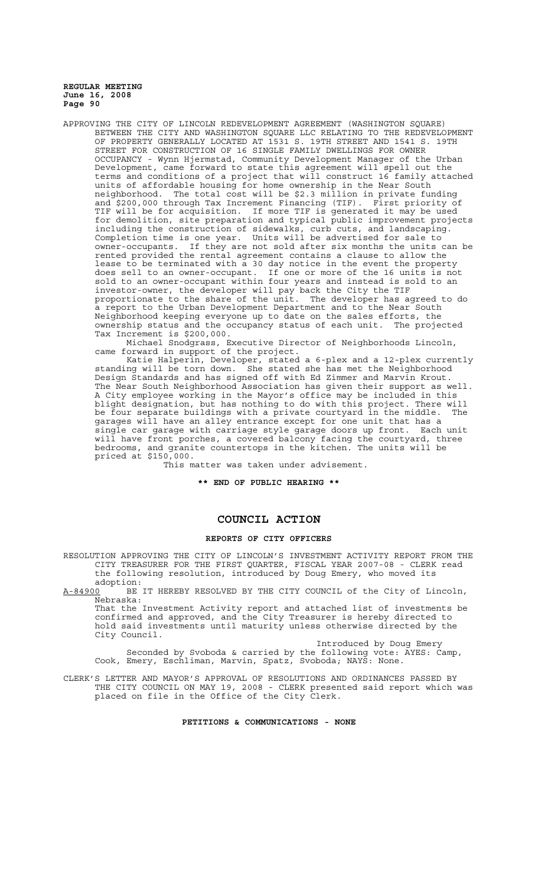APPROVING THE CITY OF LINCOLN REDEVELOPMENT AGREEMENT (WASHINGTON SQUARE) BETWEEN THE CITY AND WASHINGTON SQUARE LLC RELATING TO THE REDEVELOPMENT OF PROPERTY GENERALLY LOCATED AT 1531 S. 19TH STREET AND 1541 S. 19TH STREET FOR CONSTRUCTION OF 16 SINGLE FAMILY DWELLINGS FOR OWNER OCCUPANCY - Wynn Hjermstad, Community Development Manager of the Urban Development, came forward to state this agreement will spell out the terms and conditions of a project that will construct 16 family attached units of affordable housing for home ownership in the Near South neighborhood. The total cost will be \$2.3 million in private funding and \$200,000 through Tax Increment Financing (TIF). First priority of TIF will be for acquisition. If more TIF is generated it may be used for demolition, site preparation and typical public improvement projects including the construction of sidewalks, curb cuts, and landscaping. Completion time is one year. Units will be advertised for sale to owner-occupants. If they are not sold after six months the units can be rented provided the rental agreement contains a clause to allow the lease to be terminated with a 30 day notice in the event the property does sell to an owner-occupant. If one or more of the 16 units is not sold to an owner-occupant within four years and instead is sold to an investor-owner, the developer will pay back the City the TIF proportionate to the share of the unit. The developer has agreed to do a report to the Urban Development Department and to the Near South Neighborhood keeping everyone up to date on the sales efforts, the ownership status and the occupancy status of each unit. The projected Tax Increment is \$200,000.

Michael Snodgrass, Executive Director of Neighborhoods Lincoln, came forward in support of the project.

Katie Halperin, Developer, stated a 6-plex and a 12-plex currently standing will be torn down. She stated she has met the Neighborhood Design Standards and has signed off with Ed Zimmer and Marvin Krout. The Near South Neighborhood Association has given their support as well. A City employee working in the Mayor's office may be included in this blight designation, but has nothing to do with this project. There will be four separate buildings with a private courtyard in the middle. The garages will have an alley entrance except for one unit that has a single car garage with carriage style garage doors up front. Each unit will have front porches, a covered balcony facing the courtyard, three bedrooms, and granite countertops in the kitchen. The units will be priced at \$150,000.

This matter was taken under advisement.

**\*\* END OF PUBLIC HEARING \*\***

# **COUNCIL ACTION**

## **REPORTS OF CITY OFFICERS**

RESOLUTION APPROVING THE CITY OF LINCOLN'S INVESTMENT ACTIVITY REPORT FROM THE CITY TREASURER FOR THE FIRST QUARTER, FISCAL YEAR 2007-08 - CLERK read the following resolution, introduced by Doug Emery, who moved its

adoption:<br>A-84900 BE BE IT HEREBY RESOLVED BY THE CITY COUNCIL of the City of Lincoln, Nebraska:

That the Investment Activity report and attached list of investments be confirmed and approved, and the City Treasurer is hereby directed to hold said investments until maturity unless otherwise directed by the City Council.

Introduced by Doug Emery Seconded by Svoboda & carried by the following vote: AYES: Camp, Cook, Emery, Eschliman, Marvin, Spatz, Svoboda; NAYS: None.

CLERK'S LETTER AND MAYOR'S APPROVAL OF RESOLUTIONS AND ORDINANCES PASSED BY THE CITY COUNCIL ON MAY 19, 2008 - CLERK presented said report which was placed on file in the Office of the City Clerk.

**PETITIONS & COMMUNICATIONS - NONE**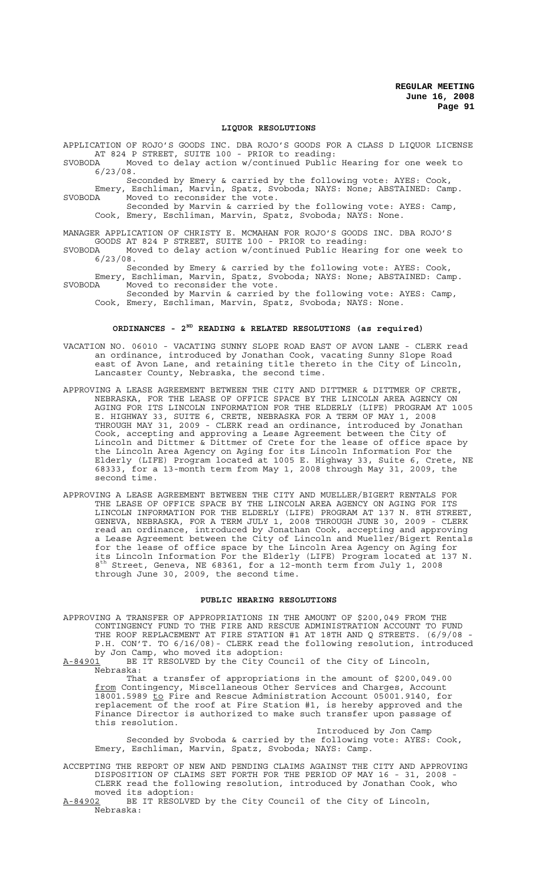### **LIQUOR RESOLUTIONS**

APPLICATION OF ROJO'S GOODS INC. DBA ROJO'S GOODS FOR A CLASS D LIQUOR LICENSE AT 824 P STREET, SUITE 100 - PRIOR to reading:

SVOBODA Moved to delay action w/continued Public Hearing for one week to 6/23/08.

Seconded by Emery & carried by the following vote: AYES: Cook, Emery, Eschliman, Marvin, Spatz, Svoboda; NAYS: None; ABSTAINED: Camp. SVOBODA Moved to reconsider the vote.

Seconded by Marvin & carried by the following vote: AYES: Camp, Cook, Emery, Eschliman, Marvin, Spatz, Svoboda; NAYS: None.

MANAGER APPLICATION OF CHRISTY E. MCMAHAN FOR ROJO'S GOODS INC. DBA ROJO'S GOODS AT 824 P STREET, SUITE 100 - PRIOR to reading:<br>SVOBODA Moved to delay action w/continued Public Heari

Moved to delay action w/continued Public Hearing for one week to 6/23/08.

Seconded by Emery & carried by the following vote: AYES: Cook, Emery, Eschliman, Marvin, Spatz, Svoboda; NAYS: None; ABSTAINED: Camp. SVOBODA Moved to reconsider the vote.

Seconded by Marvin & carried by the following vote: AYES: Camp, Cook, Emery, Eschliman, Marvin, Spatz, Svoboda; NAYS: None.

# **ORDINANCES - 2ND READING & RELATED RESOLUTIONS (as required)**

- VACATION NO. 06010 VACATING SUNNY SLOPE ROAD EAST OF AVON LANE CLERK read an ordinance, introduced by Jonathan Cook, vacating Sunny Slope Road east of Avon Lane, and retaining title thereto in the City of Lincoln, Lancaster County, Nebraska, the second time.
- APPROVING A LEASE AGREEMENT BETWEEN THE CITY AND DITTMER & DITTMER OF CRETE, NEBRASKA, FOR THE LEASE OF OFFICE SPACE BY THE LINCOLN AREA AGENCY ON AGING FOR ITS LINCOLN INFORMATION FOR THE ELDERLY (LIFE) PROGRAM AT 1005 E. HIGHWAY 33, SUITE 6, CRETE, NEBRASKA FOR A TERM OF MAY 1, 2008 THROUGH MAY 31, 2009 - CLERK read an ordinance, introduced by Jonathan Cook, accepting and approving a Lease Agreement between the City of Lincoln and Dittmer & Dittmer of Crete for the lease of office space by the Lincoln Area Agency on Aging for its Lincoln Information For the Elderly (LIFE) Program located at 1005 E. Highway 33, Suite 6, Crete, NE 68333, for a 13-month term from May 1, 2008 through May 31, 2009, the second time.
- APPROVING A LEASE AGREEMENT BETWEEN THE CITY AND MUELLER/BIGERT RENTALS FOR THE LEASE OF OFFICE SPACE BY THE LINCOLN AREA AGENCY ON AGING FOR ITS LINCOLN INFORMATION FOR THE ELDERLY (LIFE) PROGRAM AT 137 N. 8TH STREET, GENEVA, NEBRASKA, FOR A TERM JULY 1, 2008 THROUGH JUNE 30, 2009 - CLERK read an ordinance, introduced by Jonathan Cook, accepting and approving a Lease Agreement between the City of Lincoln and Mueller/Bigert Rentals for the lease of office space by the Lincoln Area Agency on Aging for its Lincoln Information For the Elderly (LIFE) Program located at 137 N. 8<sup>th</sup> Street, Geneva, NE 68361, for a 12-month term from July 1, 2008 through June 30, 2009, the second time.

# **PUBLIC HEARING RESOLUTIONS**

APPROVING A TRANSFER OF APPROPRIATIONS IN THE AMOUNT OF \$200,049 FROM THE CONTINGENCY FUND TO THE FIRE AND RESCUE ADMINISTRATION ACCOUNT TO FUND THE ROOF REPLACEMENT AT FIRE STATION #1 AT 18TH AND Q STREETS. (6/9/08 - P.H. CON'T. TO 6/16/08)- CLERK read the following resolution, introduced by Jon Camp, who moved its adoption:

A-84901 BE IT RESOLVED by the City Council of the City of Lincoln, Nebraska:

That a transfer of appropriations in the amount of \$200,049.00 from Contingency, Miscellaneous Other Services and Charges, Account  $\overline{18001.5989}$   $\overline{{\rm to}}$  Fire and Rescue Administration Account 05001.9140, for replacement of the roof at Fire Station #1, is hereby approved and the Finance Director is authorized to make such transfer upon passage of this resolution.

Introduced by Jon Camp Seconded by Svoboda & carried by the following vote: AYES: Cook, Emery, Eschliman, Marvin, Spatz, Svoboda; NAYS: Camp.

ACCEPTING THE REPORT OF NEW AND PENDING CLAIMS AGAINST THE CITY AND APPROVING DISPOSITION OF CLAIMS SET FORTH FOR THE PERIOD OF MAY 16 - 31, 2008 - CLERK read the following resolution, introduced by Jonathan Cook, who moved its adoption:

A-84902 BE IT RESOLVED by the City Council of the City of Lincoln, Nebraska: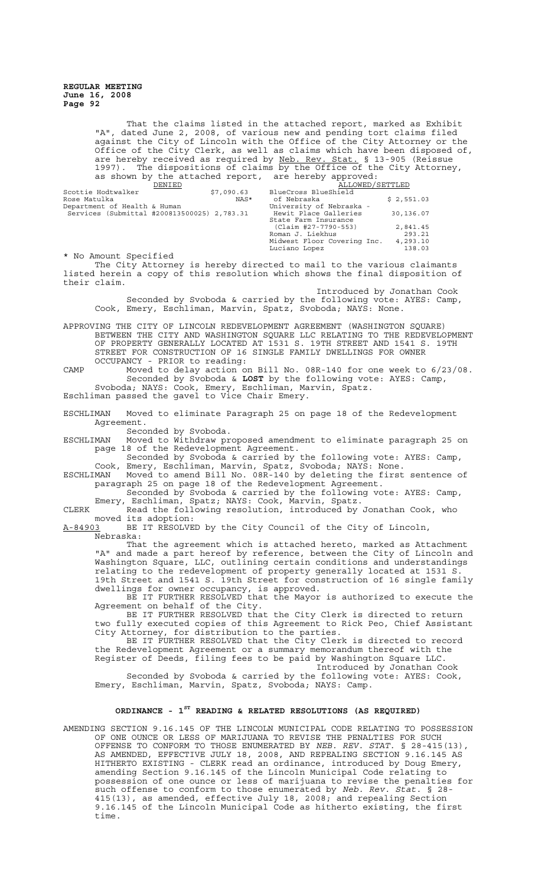> That the claims listed in the attached report, marked as Exhibit "A", dated June 2, 2008, of various new and pending tort claims filed against the City of Lincoln with the Office of the City Attorney or the Office of the City Clerk, as well as claims which have been disposed of, are hereby received as required by Neb. Rev. Stat. § 13-905 (Reissue 1997). The dispositions of claims by the Office of the City Attorney, as shown by the attached report, are hereby approved:

| DENIED                                      |  | ALLOWED/SETTLED |                             |            |
|---------------------------------------------|--|-----------------|-----------------------------|------------|
| Scottie Hodtwalker                          |  | \$7,090.63      | BlueCross BlueShield        |            |
| Rose Matulka                                |  | NAS*            | of Nebraska                 | \$2,551.03 |
| Department of Health & Human                |  |                 | University of Nebraska -    |            |
| Services (Submittal #200813500025) 2,783.31 |  |                 | Hewit Place Galleries       | 30,136.07  |
|                                             |  |                 | State Farm Insurance        |            |
|                                             |  |                 | (Claim #27-7790-553)        | 2,841.45   |
|                                             |  |                 | Roman J. Liekhus            | 293.21     |
|                                             |  |                 | Midwest Floor Covering Inc. | 4,293.10   |
|                                             |  |                 | Luciano Lopez               | 138.03     |

\* No Amount Specified The City Attorney is hereby directed to mail to the various claimants listed herein a copy of this resolution which shows the final disposition of their claim.

Introduced by Jonathan Cook Seconded by Svoboda & carried by the following vote: AYES: Camp, Cook, Emery, Eschliman, Marvin, Spatz, Svoboda; NAYS: None.

APPROVING THE CITY OF LINCOLN REDEVELOPMENT AGREEMENT (WASHINGTON SQUARE) BETWEEN THE CITY AND WASHINGTON SQUARE LLC RELATING TO THE REDEVELOPMENT OF PROPERTY GENERALLY LOCATED AT 1531 S. 19TH STREET AND 1541 S. 19TH STREET FOR CONSTRUCTION OF 16 SINGLE FAMILY DWELLINGS FOR OWNER OCCUPANCY - PRIOR to reading:

CAMP Moved to delay action on Bill No. 08R-140 for one week to 6/23/08. Seconded by Svoboda & **LOST** by the following vote: AYES: Camp, Svoboda; NAYS: Cook, Emery, Eschliman, Marvin, Spatz.

Eschliman passed the gavel to Vice Chair Emery.

ESCHLIMAN Moved to eliminate Paragraph 25 on page 18 of the Redevelopment Agreement.

Seconded by Svoboda.

ESCHLIMAN Moved to Withdraw proposed amendment to eliminate paragraph 25 on page 18 of the Redevelopment Agreement.

Seconded by Svoboda & carried by the following vote: AYES: Camp, Cook, Emery, Eschliman, Marvin, Spatz, Svoboda; NAYS: None.

ESCHLIMAN Moved to amend Bill No. 08R-140 by deleting the first sentence of paragraph 25 on page 18 of the Redevelopment Agreement.

Seconded by Svoboda & carried by the following vote: AYES: Camp, Emery, Eschliman, Spatz; NAYS: Cook, Marvin, Spatz.

CLERK Read the following resolution, introduced by Jonathan Cook, who moved its adoption:<br>A-84903 BE IT RESOLVE

BE IT RESOLVED by the City Council of the City of Lincoln, Nebraska:

That the agreement which is attached hereto, marked as Attachment "A" and made a part hereof by reference, between the City of Lincoln and Washington Square, LLC, outlining certain conditions and understandings relating to the redevelopment of property generally located at 1531 S. 19th Street and 1541 S. 19th Street for construction of 16 single family dwellings for owner occupancy, is approved.

BE IT FURTHER RESOLVED that the Mayor is authorized to execute the Agreement on behalf of the City.

BE IT FURTHER RESOLVED that the City Clerk is directed to return two fully executed copies of this Agreement to Rick Peo, Chief Assistant City Attorney, for distribution to the parties.

BE IT FURTHER RESOLVED that the City Clerk is directed to record the Redevelopment Agreement or a summary memorandum thereof with the Register of Deeds, filing fees to be paid by Washington Square LLC.

Introduced by Jonathan Cook Seconded by Svoboda & carried by the following vote: AYES: Cook, Emery, Eschliman, Marvin, Spatz, Svoboda; NAYS: Camp.

# **ORDINANCE - 1ST READING & RELATED RESOLUTIONS (AS REQUIRED)**

AMENDING SECTION 9.16.145 OF THE LINCOLN MUNICIPAL CODE RELATING TO POSSESSION OF ONE OUNCE OR LESS OF MARIJUANA TO REVISE THE PENALTIES FOR SUCH OFFENSE TO CONFORM TO THOSE ENUMERATED BY *NEB. REV. STAT.* § 28-415(13), AS AMENDED, EFFECTIVE JULY 18, 2008, AND REPEALING SECTION 9.16.145 AS HITHERTO EXISTING - CLERK read an ordinance, introduced by Doug Emery, amending Section 9.16.145 of the Lincoln Municipal Code relating to possession of one ounce or less of marijuana to revise the penalties for such offense to conform to those enumerated by *Neb. Rev. Stat.* § 28- 415(13), as amended, effective July 18, 2008; and repealing Section 9.16.145 of the Lincoln Municipal Code as hitherto existing, the first time.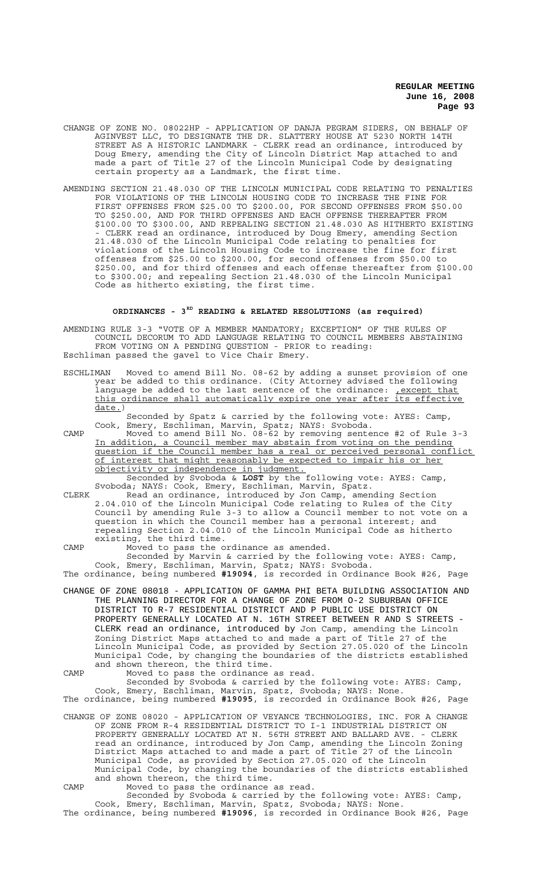- CHANGE OF ZONE NO. 08022HP APPLICATION OF DANJA PEGRAM SIDERS, ON BEHALF OF AGINVEST LLC, TO DESIGNATE THE DR. SLATTERY HOUSE AT 5230 NORTH 14TH STREET AS A HISTORIC LANDMARK - CLERK read an ordinance, introduced by Doug Emery, amending the City of Lincoln District Map attached to and made a part of Title 27 of the Lincoln Municipal Code by designating certain property as a Landmark, the first time.
- AMENDING SECTION 21.48.030 OF THE LINCOLN MUNICIPAL CODE RELATING TO PENALTIES FOR VIOLATIONS OF THE LINCOLN HOUSING CODE TO INCREASE THE FINE FOR FIRST OFFENSES FROM \$25.00 TO \$200.00, FOR SECOND OFFENSES FROM \$50.00 TO \$250.00, AND FOR THIRD OFFENSES AND EACH OFFENSE THEREAFTER FROM \$100.00 TO \$300.00, AND REPEALING SECTION 21.48.030 AS HITHERTO EXISTING - CLERK read an ordinance, introduced by Doug Emery, amending Section 21.48.030 of the Lincoln Municipal Code relating to penalties for violations of the Lincoln Housing Code to increase the fine for first offenses from \$25.00 to \$200.00, for second offenses from \$50.00 to \$250.00, and for third offenses and each offense thereafter from \$100.00 to \$300.00; and repealing Section 21.48.030 of the Lincoln Municipal Code as hitherto existing, the first time.

# **ORDINANCES - 3RD READING & RELATED RESOLUTIONS (as required)**

AMENDING RULE 3-3 "VOTE OF A MEMBER MANDATORY; EXCEPTION" OF THE RULES OF COUNCIL DECORUM TO ADD LANGUAGE RELATING TO COUNCIL MEMBERS ABSTAINING FROM VOTING ON A PENDING QUESTION - PRIOR to reading: Eschliman passed the gavel to Vice Chair Emery.

ESCHLIMAN Moved to amend Bill No. 08-62 by adding a sunset provision of one year be added to this ordinance. (City Attorney advised the following language be added to the last sentence of the ordinance: <u>, except that</u> this ordinance shall automatically expire one year after its effective date.)

Seconded by Spatz & carried by the following vote: AYES: Camp, Cook, Emery, Eschliman, Marvin, Spatz; NAYS: Svoboda.

CAMP Moved to amend Bill No. 08-62 by removing sentence #2 of Rule 3-3 In addition, a Council member may abstain from voting on the pending question if the Council member has a real or perceived personal conflict of interest that might reasonably be expected to impair his or her objectivity or independence in judgment. Seconded by Svoboda & **LOST** by the following vote: AYES: Camp,

Svoboda; NAYS: Cook, Emery, Eschliman, Marvin, Spatz.

CLERK Read an ordinance, introduced by Jon Camp, amending Section 2.04.010 of the Lincoln Municipal Code relating to Rules of the City Council by amending Rule 3-3 to allow a Council member to not vote on a question in which the Council member has a personal interest; and repealing Section 2.04.010 of the Lincoln Municipal Code as hitherto existing, the third time.

CAMP Moved to pass the ordinance as amended.

Seconded by Marvin & carried by the following vote: AYES: Camp, Cook, Emery, Eschliman, Marvin, Spatz; NAYS: Svoboda.

The ordinance, being numbered **#19094**, is recorded in Ordinance Book #26, Page

- CHANGE OF ZONE 08018 APPLICATION OF GAMMA PHI BETA BUILDING ASSOCIATION AND THE PLANNING DIRECTOR FOR A CHANGE OF ZONE FROM O-2 SUBURBAN OFFICE DISTRICT TO R-7 RESIDENTIAL DISTRICT AND P PUBLIC USE DISTRICT ON PROPERTY GENERALLY LOCATED AT N. 16TH STREET BETWEEN R AND S STREETS - CLERK read an ordinance, introduced by Jon Camp, amending the Lincoln Zoning District Maps attached to and made a part of Title 27 of the Lincoln Municipal Code, as provided by Section 27.05.020 of the Lincoln Municipal Code, by changing the boundaries of the districts established and shown thereon, the third time.
- CAMP Moved to pass the ordinance as read.

Seconded by Svoboda & carried by the following vote: AYES: Camp, Cook, Emery, Eschliman, Marvin, Spatz, Svoboda; NAYS: None. The ordinance, being numbered **#19095**, is recorded in Ordinance Book #26, Page

- CHANGE OF ZONE 08020 APPLICATION OF VEYANCE TECHNOLOGIES, INC. FOR A CHANGE OF ZONE FROM R-4 RESIDENTIAL DISTRICT TO I-1 INDUSTRIAL DISTRICT ON PROPERTY GENERALLY LOCATED AT N. 56TH STREET AND BALLARD AVE. - CLERK read an ordinance, introduced by Jon Camp, amending the Lincoln Zoning District Maps attached to and made a part of Title 27 of the Lincoln Municipal Code, as provided by Section 27.05.020 of the Lincoln Municipal Code, by changing the boundaries of the districts established and shown thereon, the third time.
- CAMP Moved to pass the ordinance as read.

Seconded by Svoboda & carried by the following vote: AYES: Camp, Cook, Emery, Eschliman, Marvin, Spatz, Svoboda; NAYS: None. The ordinance, being numbered **#19096**, is recorded in Ordinance Book #26, Page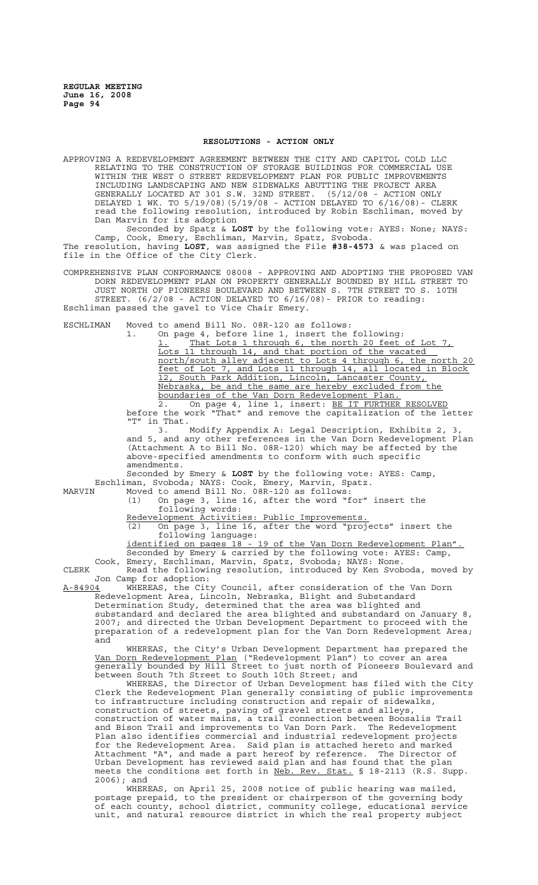#### **RESOLUTIONS - ACTION ONLY**

APPROVING A REDEVELOPMENT AGREEMENT BETWEEN THE CITY AND CAPITOL COLD LLC RELATING TO THE CONSTRUCTION OF STORAGE BUILDINGS FOR COMMERCIAL USE WITHIN THE WEST O STREET REDEVELOPMENT PLAN FOR PUBLIC IMPROVEMENTS INCLUDING LANDSCAPING AND NEW SIDEWALKS ABUTTING THE PROJECT AREA GENERALLY LOCATED AT 301 S.W. 32ND STREET. (5/12/08 - ACTION ONLY DELAYED 1 WK. TO 5/19/08)(5/19/08 - ACTION DELAYED TO 6/16/08)- CLERK read the following resolution, introduced by Robin Eschliman, moved by Dan Marvin for its adoption

Seconded by Spatz & **LOST** by the following vote: AYES: None; NAYS: Camp, Cook, Emery, Eschliman, Marvin, Spatz, Svoboda. The resolution, having **LOST**, was assigned the File **#38-4573** & was placed on file in the Office of the City Clerk.

COMPREHENSIVE PLAN CONFORMANCE 08008 - APPROVING AND ADOPTING THE PROPOSED VAN DORN REDEVELOPMENT PLAN ON PROPERTY GENERALLY BOUNDED BY HILL STREET TO JUST NORTH OF PIONEERS BOULEVARD AND BETWEEN S. 7TH STREET TO S. 10TH STREET. (6/2/08 - ACTION DELAYED TO 6/16/08)- PRIOR to reading: Eschliman passed the gavel to Vice Chair Emery.

ESCHLIMAN Moved to amend Bill No. 08R-120 as follows:

1. On page 4, before line 1, insert the following: 1. That Lots 1 through 6, the north 20 feet of Lot 7, Lots 11 through 14, and that portion of the vacated north/south alley adjacent to Lots 4 through 6, the north 20 feet of Lot 7, and Lots 11 through 14, all located in Block 12, South Park Addition, Lincoln, Lancaster County, Nebraska, be and the same are hereby excluded from the boundaries of the Van Dorn Redevelopment Plan. 2. On page 4, line 1, insert: BE IT FURTHER RESOLVED

before the work "That" and remove the capitalization of the letter "T" in That.

3. Modify Appendix A: Legal Description, Exhibits 2, 3, and 5, and any other references in the Van Dorn Redevelopment Plan (Attachment A to Bill No. 08R-120) which may be affected by the above-specified amendments to conform with such specific amendments.

Seconded by Emery & **LOST** by the following vote: AYES: Camp, Eschliman, Svoboda; NAYS: Cook, Emery, Marvin, Spatz.

MARVIN Moved to amend Bill No. 08R-120 as follows:

(1) On page 3, line 16, after the word "for" insert the following words:

Redevelopment Activities: Public Improvements.

(2) On page 3, line 16, after the word "projects" insert the following language: identified on pages 18 - 19 of the Van Dorn Redevelopment Plan".

Seconded by Emery & carried by the following vote: AYES: Camp, Cook, Emery, Eschliman, Marvin, Spatz, Svoboda; NAYS: None.

CLERK Read the following resolution, introduced by Ken Svoboda, moved by Jon Camp for adoption:<br>A-84904 WHEREAS, the City

WHEREAS, the City Council, after consideration of the Van Dorn Redevelopment Area, Lincoln, Nebraska, Blight and Substandard

Determination Study, determined that the area was blighted and substandard and declared the area blighted and substandard on January 8, 2007; and directed the Urban Development Department to proceed with the preparation of a redevelopment plan for the Van Dorn Redevelopment Area; and

WHEREAS, the City's Urban Development Department has prepared the Van Dorn Redevelopment Plan ("Redevelopment Plan") to cover an area generally bounded by Hill Street to just north of Pioneers Boulevard and between South 7th Street to South 10th Street; and

WHEREAS, the Director of Urban Development has filed with the City Clerk the Redevelopment Plan generally consisting of public improvements to infrastructure including construction and repair of sidewalks, construction of streets, paving of gravel streets and alleys, construction of water mains, a trail connection between Boosalis Trail and Bison Trail and improvements to Van Dorn Park. The Redevelopment Plan also identifies commercial and industrial redevelopment projects for the Redevelopment Area. Said plan is attached hereto and marked Attachment "A", and made a part hereof by reference. The Director of Urban Development has reviewed said plan and has found that the plan meets the conditions set forth in Neb. Rev. Stat. § 18-2113 (R.S. Supp.

 $2006$ ); and<br>WHEREAS, on April 25, 2008 notice of public hearing was mailed, postage prepaid, to the president or chairperson of the governing body of each county, school district, community college, educational service unit, and natural resource district in which the real property subject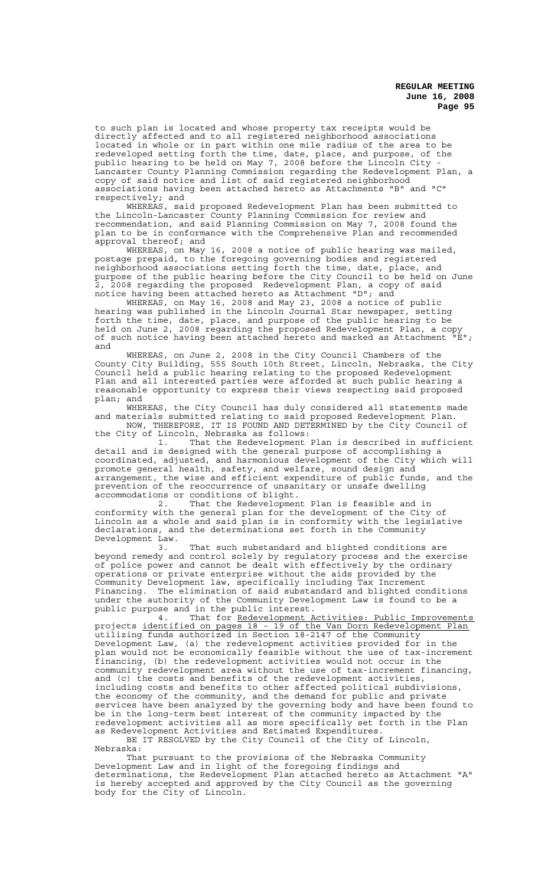to such plan is located and whose property tax receipts would be directly affected and to all registered neighborhood associations located in whole or in part within one mile radius of the area to be redeveloped setting forth the time, date, place, and purpose, of the public hearing to be held on May 7, 2008 before the Lincoln City - Lancaster County Planning Commission regarding the Redevelopment Plan, a copy of said notice and list of said registered neighborhood associations having been attached hereto as Attachments "B" and "C" respectively; and

WHEREAS, said proposed Redevelopment Plan has been submitted to the Lincoln-Lancaster County Planning Commission for review and recommendation, and said Planning Commission on May 7, 2008 found the plan to be in conformance with the Comprehensive Plan and recommended approval thereof; and

WHEREAS, on May 16, 2008 a notice of public hearing was mailed, postage prepaid, to the foregoing governing bodies and registered neighborhood associations setting forth the time, date, place, and purpose of the public hearing before the City Council to be held on June 2, 2008 regarding the proposed Redevelopment Plan, a copy of said notice having been attached hereto as Attachment "D"; and

WHEREAS, on May 16, 2008 and May 23, 2008 a notice of public hearing was published in the Lincoln Journal Star newspaper, setting forth the time, date, place, and purpose of the public hearing to be held on June 2, 2008 regarding the proposed Redevelopment Plan, a copy of such notice having been attached hereto and marked as Attachment "E"; and

WHEREAS, on June 2, 2008 in the City Council Chambers of the County City Building, 555 South 10th Street, Lincoln, Nebraska, the City Council held a public hearing relating to the proposed Redevelopment Plan and all interested parties were afforded at such public hearing a reasonable opportunity to express their views respecting said proposed plan; and

WHEREAS, the City Council has duly considered all statements made and materials submitted relating to said proposed Redevelopment Plan. NOW, THEREFORE, IT IS FOUND AND DETERMINED by the City Council of

the City of Lincoln, Nebraska as follows:<br>1. That the Redevelopment That the Redevelopment Plan is described in sufficient detail and is designed with the general purpose of accomplishing a

coordinated, adjusted, and harmonious development of the City which will promote general health, safety, and welfare, sound design and arrangement, the wise and efficient expenditure of public funds, and the prevention of the reoccurrence of unsanitary or unsafe dwelling .<br>accommodations or conditions of blight.

2. That the Redevelopment Plan is feasible and in conformity with the general plan for the development of the City of Lincoln as a whole and said plan is in conformity with the legislative declarations, and the determinations set forth in the Community Development Law.

3. That such substandard and blighted conditions are beyond remedy and control solely by regulatory process and the exercise of police power and cannot be dealt with effectively by the ordinary operations or private enterprise without the aids provided by the Community Development law, specifically including Tax Increment Financing. The elimination of said substandard and blighted conditions under the authority of the Community Development Law is found to be a public purpose and in the public interest.

4. That for Redevelopment Activities: Public Improvements projects identified on pages 18 - 19 of the Van Dorn Redevelopment Plan utilizing funds authorized in Section 18-2147 of the Community Development Law, (a) the redevelopment activities provided for in the plan would not be economically feasible without the use of tax-increment financing, (b) the redevelopment activities would not occur in the community redevelopment area without the use of tax-increment financing, and (c) the costs and benefits of the redevelopment activities, including costs and benefits to other affected political subdivisions, the economy of the community, and the demand for public and private services have been analyzed by the governing body and have been found to be in the long-term best interest of the community impacted by the redevelopment activities all as more specifically set forth in the Plan as Redevelopment Activities and Estimated Expenditures.

BE IT RESOLVED by the City Council of the City of Lincoln, Nebraska:

That pursuant to the provisions of the Nebraska Community Development Law and in light of the foregoing findings and determinations, the Redevelopment Plan attached hereto as Attachment "A" is hereby accepted and approved by the City Council as the governing body for the City of Lincoln.